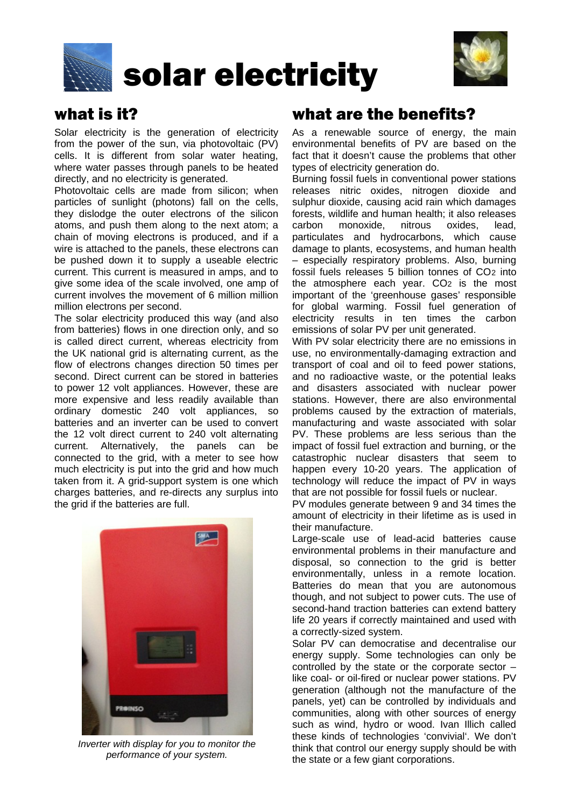



# what is it?

Solar electricity is the generation of electricity from the power of the sun, via photovoltaic (PV) cells. It is different from solar water heating, where water passes through panels to be heated directly, and no electricity is generated.

Photovoltaic cells are made from silicon; when particles of sunlight (photons) fall on the cells, they dislodge the outer electrons of the silicon atoms, and push them along to the next atom; a chain of moving electrons is produced, and if a wire is attached to the panels, these electrons can be pushed down it to supply a useable electric current. This current is measured in amps, and to give some idea of the scale involved, one amp of current involves the movement of 6 million million million electrons per second.

The solar electricity produced this way (and also from batteries) flows in one direction only, and so is called direct current, whereas electricity from the UK national grid is alternating current, as the flow of electrons changes direction 50 times per second. Direct current can be stored in batteries to power 12 volt appliances. However, these are more expensive and less readily available than ordinary domestic 240 volt appliances, so batteries and an inverter can be used to convert the 12 volt direct current to 240 volt alternating current. Alternatively, the panels can be connected to the grid, with a meter to see how much electricity is put into the grid and how much taken from it. A grid-support system is one which charges batteries, and re-directs any surplus into the grid if the batteries are full.



*Inverter with display for you to monitor the performance of your system.*

# what are the benefits?

As a renewable source of energy, the main environmental benefits of PV are based on the fact that it doesn't cause the problems that other types of electricity generation do.

Burning fossil fuels in conventional power stations releases nitric oxides, nitrogen dioxide and sulphur dioxide, causing acid rain which damages forests, wildlife and human health; it also releases carbon monoxide, nitrous oxides, lead, particulates and hydrocarbons, which cause damage to plants, ecosystems, and human health – especially respiratory problems. Also, burning fossil fuels releases 5 billion tonnes of CO2 into the atmosphere each year. CO<sub>2</sub> is the most important of the 'greenhouse gases' responsible for global warming. Fossil fuel generation of electricity results in ten times the carbon emissions of solar PV per unit generated.

With PV solar electricity there are no emissions in use, no environmentally-damaging extraction and transport of coal and oil to feed power stations, and no radioactive waste, or the potential leaks and disasters associated with nuclear power stations. However, there are also environmental problems caused by the extraction of materials, manufacturing and waste associated with solar PV. These problems are less serious than the impact of fossil fuel extraction and burning, or the catastrophic nuclear disasters that seem to happen every 10-20 years. The application of technology will reduce the impact of PV in ways that are not possible for fossil fuels or nuclear.

PV modules generate between 9 and 34 times the amount of electricity in their lifetime as is used in their manufacture.

Large-scale use of lead-acid batteries cause environmental problems in their manufacture and disposal, so connection to the grid is better environmentally, unless in a remote location. Batteries do mean that you are autonomous though, and not subject to power cuts. The use of second-hand traction batteries can extend battery life 20 years if correctly maintained and used with a correctly-sized system.

Solar PV can democratise and decentralise our energy supply. Some technologies can only be controlled by the state or the corporate sector – like coal- or oil-fired or nuclear power stations. PV generation (although not the manufacture of the panels, yet) can be controlled by individuals and communities, along with other sources of energy such as wind, hydro or wood. Ivan Illich called these kinds of technologies 'convivial'. We don't think that control our energy supply should be with the state or a few giant corporations.